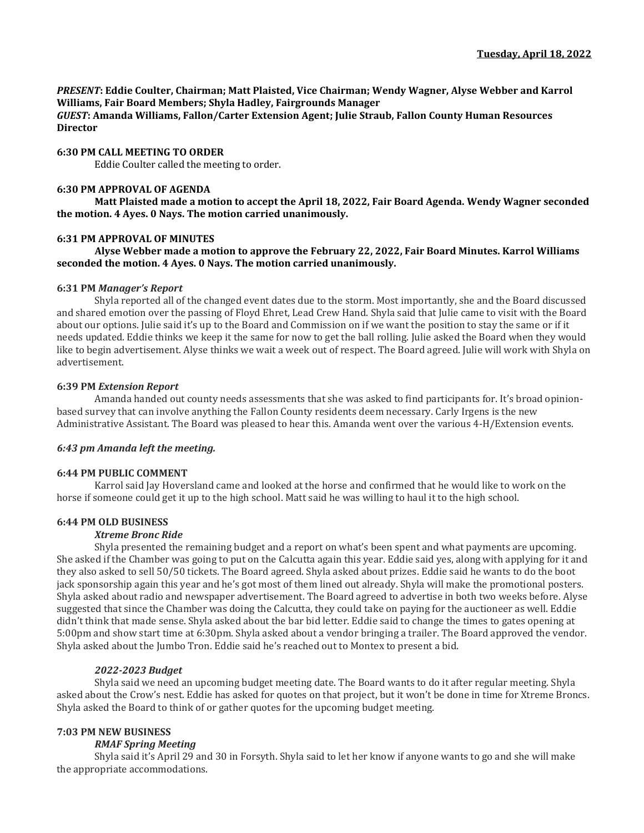*PRESENT***: Eddie Coulter, Chairman; Matt Plaisted, Vice Chairman; Wendy Wagner, Alyse Webber and Karrol Williams, Fair Board Members; Shyla Hadley, Fairgrounds Manager**

*GUEST***: Amanda Williams, Fallon/Carter Extension Agent; Julie Straub, Fallon County Human Resources Director**

## **6:30 PM CALL MEETING TO ORDER**

Eddie Coulter called the meeting to order.

### **6:30 PM APPROVAL OF AGENDA**

**Matt Plaisted made a motion to accept the April 18, 2022, Fair Board Agenda. Wendy Wagner seconded the motion. 4 Ayes. 0 Nays. The motion carried unanimously.** 

## **6:31 PM APPROVAL OF MINUTES**

**Alyse Webber made a motion to approve the February 22, 2022, Fair Board Minutes. Karrol Williams seconded the motion. 4 Ayes. 0 Nays. The motion carried unanimously.**

### **6:31 PM** *Manager's Report*

Shyla reported all of the changed event dates due to the storm. Most importantly, she and the Board discussed and shared emotion over the passing of Floyd Ehret, Lead Crew Hand. Shyla said that Julie came to visit with the Board about our options. Julie said it's up to the Board and Commission on if we want the position to stay the same or if it needs updated. Eddie thinks we keep it the same for now to get the ball rolling. Julie asked the Board when they would like to begin advertisement. Alyse thinks we wait a week out of respect. The Board agreed. Julie will work with Shyla on advertisement.

## **6:39 PM** *Extension Report*

Amanda handed out county needs assessments that she was asked to find participants for. It's broad opinionbased survey that can involve anything the Fallon County residents deem necessary. Carly Irgens is the new Administrative Assistant. The Board was pleased to hear this. Amanda went over the various 4-H/Extension events.

# *6:43 pm Amanda left the meeting.*

### **6:44 PM PUBLIC COMMENT**

Karrol said Jay Hoversland came and looked at the horse and confirmed that he would like to work on the horse if someone could get it up to the high school. Matt said he was willing to haul it to the high school.

# **6:44 PM OLD BUSINESS**

## *Xtreme Bronc Ride*

Shyla presented the remaining budget and a report on what's been spent and what payments are upcoming. She asked if the Chamber was going to put on the Calcutta again this year. Eddie said yes, along with applying for it and they also asked to sell 50/50 tickets. The Board agreed. Shyla asked about prizes. Eddie said he wants to do the boot jack sponsorship again this year and he's got most of them lined out already. Shyla will make the promotional posters. Shyla asked about radio and newspaper advertisement. The Board agreed to advertise in both two weeks before. Alyse suggested that since the Chamber was doing the Calcutta, they could take on paying for the auctioneer as well. Eddie didn't think that made sense. Shyla asked about the bar bid letter. Eddie said to change the times to gates opening at 5:00pm and show start time at 6:30pm. Shyla asked about a vendor bringing a trailer. The Board approved the vendor. Shyla asked about the Jumbo Tron. Eddie said he's reached out to Montex to present a bid.

# *2022-2023 Budget*

Shyla said we need an upcoming budget meeting date. The Board wants to do it after regular meeting. Shyla asked about the Crow's nest. Eddie has asked for quotes on that project, but it won't be done in time for Xtreme Broncs. Shyla asked the Board to think of or gather quotes for the upcoming budget meeting.

# **7:03 PM NEW BUSINESS**

# *RMAF Spring Meeting*

Shyla said it's April 29 and 30 in Forsyth. Shyla said to let her know if anyone wants to go and she will make the appropriate accommodations.